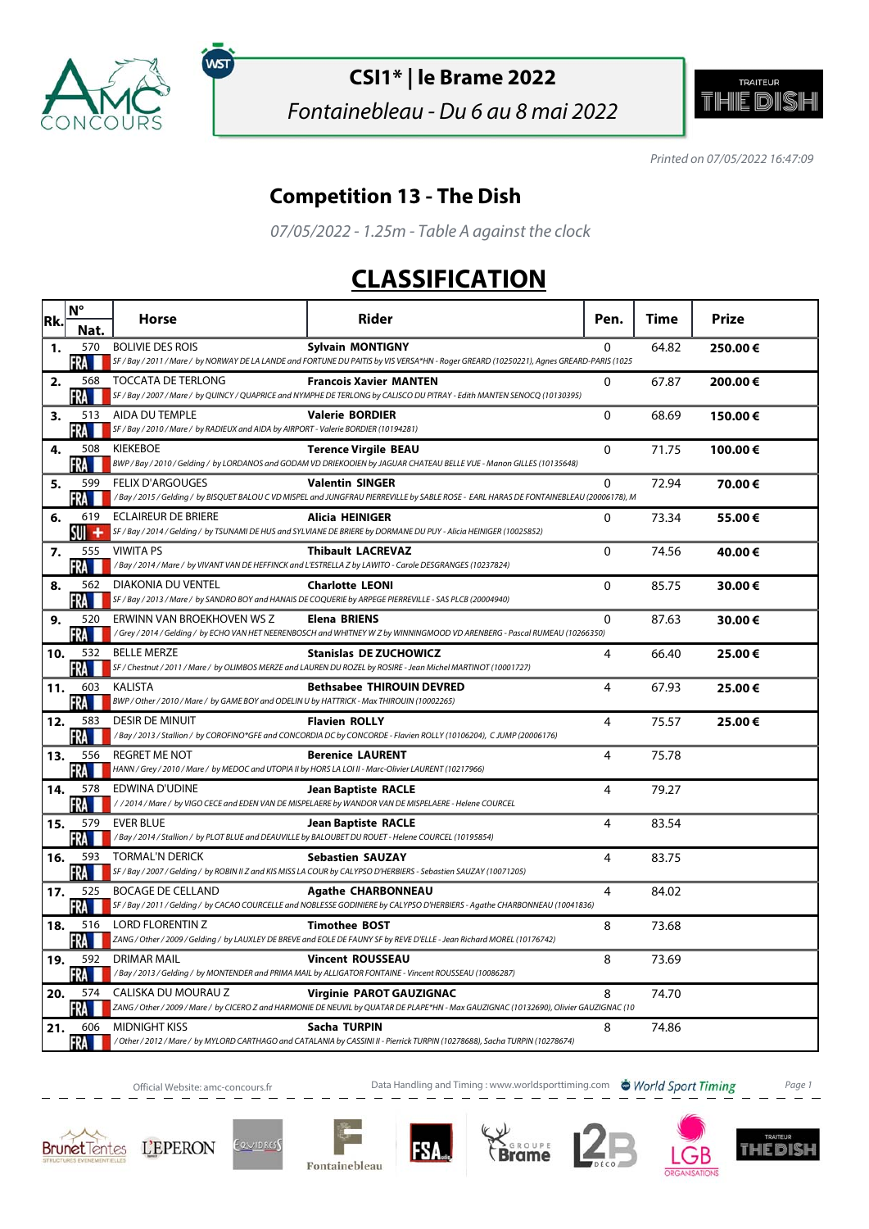

ัพรา

## **CSI1\* | le Brame 2022**

Fontainebleau - Du 6 au 8 mai 2022



Printed on 07/05/2022 16:47:09

## **Competition 13 - The Dish**

07/05/2022 - 1.25m - Table A against the clock

## **CLASSIFICATION**

| Rk. | $N^{\circ}$       | Horse                                                                                                                   | <b>Rider</b>                                                                                                                                                               | Pen.        | Time  | <b>Prize</b> |
|-----|-------------------|-------------------------------------------------------------------------------------------------------------------------|----------------------------------------------------------------------------------------------------------------------------------------------------------------------------|-------------|-------|--------------|
|     | Nat.              |                                                                                                                         |                                                                                                                                                                            |             |       |              |
| 1.  | 570<br>FRA        | <b>BOLIVIE DES ROIS</b>                                                                                                 | <b>Sylvain MONTIGNY</b><br>SF / Bay / 2011 / Mare / by NORWAY DE LA LANDE and FORTUNE DU PAITIS by VIS VERSA*HN - Roger GREARD (10250221), Agnes GREARD-PARIS (1025        | $\Omega$    | 64.82 | 250.00€      |
| 2.  | 568<br>FRA        | <b>TOCCATA DE TERLONG</b>                                                                                               | <b>Francois Xavier MANTEN</b><br>SF / Bay / 2007 / Mare / by QUINCY / QUAPRICE and NYMPHE DE TERLONG by CALISCO DU PITRAY - Edith MANTEN SENOCQ (10130395)                 | 0           | 67.87 | 200.00€      |
| 3.  | 513<br>FRA        | AIDA DU TEMPLE<br>SF / Bay / 2010 / Mare / by RADIEUX and AIDA by AIRPORT - Valerie BORDIER (10194281)                  | <b>Valerie BORDIER</b>                                                                                                                                                     | 0           | 68.69 | 150.00€      |
| 4.  | 508<br>FRA        | <b>KIEKEBOE</b>                                                                                                         | <b>Terence Virgile BEAU</b><br>BWP / Bay / 2010 / Gelding / by LORDANOS and GODAM VD DRIEKOOIEN by JAGUAR CHATEAU BELLE VUE - Manon GILLES (10135648)                      | 0           | 71.75 | 100.00€      |
| 5.  | 599<br>RA I       | <b>FELIX D'ARGOUGES</b>                                                                                                 | <b>Valentin SINGER</b><br>/Bay / 2015 / Gelding / by BISQUET BALOU C VD MISPEL and JUNGFRAU PIERREVILLE by SABLE ROSE - EARL HARAS DE FONTAINEBLEAU (20006178), M          | 0           | 72.94 | 70.00€       |
| 6.  | 619<br>SUIT<br>۰  | ECLAIREUR DE BRIERE                                                                                                     | Alicia HEINIGER<br>SF / Bay / 2014 / Gelding / by TSUNAMI DE HUS and SYLVIANE DE BRIERE by DORMANE DU PUY - Alicia HEINIGER (10025852)                                     | $\Omega$    | 73.34 | 55.00€       |
| 7.  | 555<br>RA II      | <b>VIWITA PS</b>                                                                                                        | <b>Thibault LACREVAZ</b><br>/Bay / 2014 / Mare / by VIVANT VAN DE HEFFINCK and L'ESTRELLA Z by LAWITO - Carole DESGRANGES (10237824)                                       | $\Omega$    | 74.56 | 40.00€       |
| 8.  | 562<br>FRA I      | <b>DIAKONIA DU VENTEL</b>                                                                                               | <b>Charlotte LEONI</b><br>SF / Bay / 2013 / Mare / by SANDRO BOY and HANAIS DE COQUERIE by ARPEGE PIERREVILLE - SAS PLCB (20004940)                                        | $\mathbf 0$ | 85.75 | 30.00€       |
| 9.  | 520<br>FRA        | ERWINN VAN BROEKHOVEN WS Z                                                                                              | <b>Elena BRIENS</b><br>/Grey / 2014 / Gelding / by ECHO VAN HET NEERENBOSCH and WHITNEY W Z by WINNINGMOOD VD ARENBERG - Pascal RUMEAU (10266350)                          | 0           | 87.63 | 30.00€       |
| 10. | 532<br>-RA        | <b>BELLE MERZE</b>                                                                                                      | <b>Stanislas DE ZUCHOWICZ</b><br>SF / Chestnut / 2011 / Mare / by OLIMBOS MERZE and LAUREN DU ROZEL by ROSIRE - Jean Michel MARTINOT (10001727)                            | 4           | 66.40 | 25.00€       |
| 11. | 603<br>FRA I      | <b>KALISTA</b><br>BWP / Other / 2010 / Mare / by GAME BOY and ODELIN U by HATTRICK - Max THIROUIN (10002265)            | <b>Bethsabee THIROUIN DEVRED</b>                                                                                                                                           | 4           | 67.93 | 25.00€       |
| 12. | 583<br><b>FRA</b> | <b>DESIR DE MINUIT</b>                                                                                                  | <b>Flavien ROLLY</b><br>/Bay / 2013 / Stallion / by COROFINO*GFE and CONCORDIA DC by CONCORDE - Flavien ROLLY (10106204), CJUMP (20006176)                                 | 4           | 75.57 | 25.00€       |
| 13. | 556<br>FRA        | REGRET ME NOT<br>HANN / Grey / 2010 / Mare / by MEDOC and UTOPIA II by HORS LA LOI II - Marc-Olivier LAURENT (10217966) | <b>Berenice LAURENT</b>                                                                                                                                                    | 4           | 75.78 |              |
| 14. | 578<br>FRA        | EDWINA D'UDINE                                                                                                          | <b>Jean Baptiste RACLE</b><br>/ / 2014 / Mare / by VIGO CECE and EDEN VAN DE MISPELAERE by WANDOR VAN DE MISPELAERE - Helene COURCEL                                       | 4           | 79.27 |              |
| 15. | 579<br>FRA I      | <b>EVER BLUE</b><br>/Bay/2014/Stallion/ by PLOT BLUE and DEAUVILLE by BALOUBET DU ROUET - Helene COURCEL (10195854)     | <b>Jean Baptiste RACLE</b>                                                                                                                                                 | 4           | 83.54 |              |
| 16. | 593<br>FRA        | <b>TORMAL'N DERICK</b>                                                                                                  | <b>Sebastien SAUZAY</b><br>SF / Bay / 2007 / Gelding / by ROBIN II Z and KIS MISS LA COUR by CALYPSO D'HERBIERS - Sebastien SAUZAY (10071205)                              | 4           | 83.75 |              |
| 17. | 525<br>FRA        | <b>BOCAGE DE CELLAND</b>                                                                                                | <b>Agathe CHARBONNEAU</b><br>SF / Bay / 2011 / Gelding / by CACAO COURCELLE and NOBLESSE GODINIERE by CALYPSO D'HERBIERS - Agathe CHARBONNEAU (10041836)                   | 4           | 84.02 |              |
| 18. | 516<br>FRA I      | <b>LORD FLORENTIN Z</b>                                                                                                 | <b>Timothee BOST</b><br>ZANG / Other / 2009 / Gelding / by LAUXLEY DE BREVE and EOLE DE FAUNY SF by REVE D'ELLE - Jean Richard MOREL (10176742)                            | 8           | 73.68 |              |
| 19. | 592<br>FRA        | <b>DRIMAR MAIL</b>                                                                                                      | <b>Vincent ROUSSEAU</b><br>/Bay/2013/Gelding/by MONTENDER and PRIMA MAIL by ALLIGATOR FONTAINE - Vincent ROUSSEAU (10086287)                                               | 8           | 73.69 |              |
| 20. | 574<br>·RA        | CALISKA DU MOURAU Z                                                                                                     | <b>Virginie PAROT GAUZIGNAC</b><br>ZANG / Other / 2009 / Mare / by CICERO Z and HARMONIE DE NEUVIL by QUATAR DE PLAPE*HN - Max GAUZIGNAC (10132690), Olivier GAUZIGNAC (10 | 8           | 74.70 |              |
| 21. | 606<br><b>FRA</b> | <b>MIDNIGHT KISS</b>                                                                                                    | Sacha TURPIN<br>/Other/2012/Mare/ by MYLORD CARTHAGO and CATALANIA by CASSINI II - Pierrick TURPIN (10278688), Sacha TURPIN (10278674)                                     | 8           | 74.86 |              |

Official Website: amc-concours.fr **Data Handling and Timing : www.worldsporttiming.com b** World Sport Timing Page 1











IМ